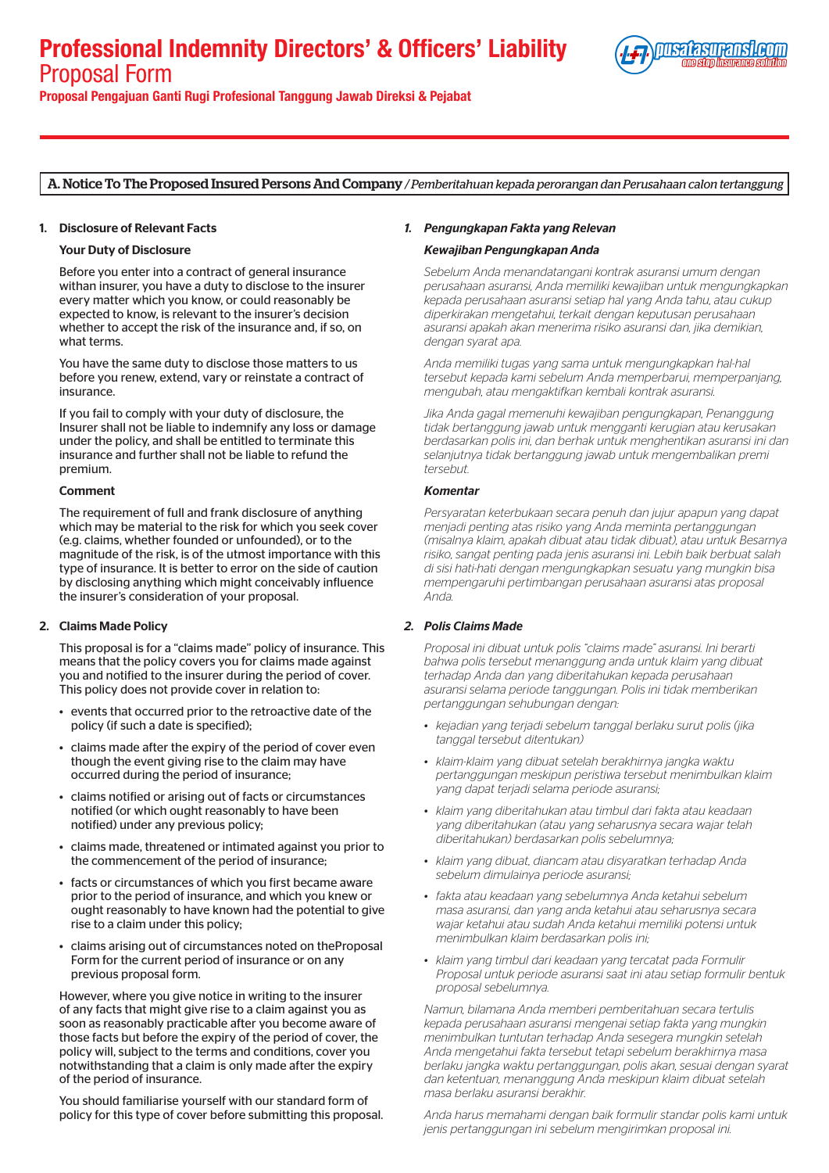# Professional Indemnity Directors' & Officers' Liability Proposal Form



Proposal Pengajuan Ganti Rugi Profesional Tanggung Jawab Direksi & Pejabat

# A. Notice To The Proposed Insured Persons And Company */ Pemberitahuan kepada perorangan dan Perusahaan calon tertanggung*

## 1. Disclosure of Relevant Facts

## Your Duty of Disclosure

Before you enter into a contract of general insurance withan insurer, you have a duty to disclose to the insurer every matter which you know, or could reasonably be expected to know, is relevant to the insurer's decision whether to accept the risk of the insurance and, if so, on what terms.

You have the same duty to disclose those matters to us before you renew, extend, vary or reinstate a contract of insurance.

If you fail to comply with your duty of disclosure, the Insurer shall not be liable to indemnify any loss or damage under the policy, and shall be entitled to terminate this insurance and further shall not be liable to refund the premium.

#### Comment

The requirement of full and frank disclosure of anything which may be material to the risk for which you seek cover (e.g. claims, whether founded or unfounded), or to the magnitude of the risk, is of the utmost importance with this type of insurance. It is better to error on the side of caution by disclosing anything which might conceivably influence the insurer's consideration of your proposal.

# 2. Claims Made Policy

This proposal is for a "claims made" policy of insurance. This means that the policy covers you for claims made against you and notified to the insurer during the period of cover. This policy does not provide cover in relation to:

- events that occurred prior to the retroactive date of the policy (if such a date is specified);
- claims made after the expiry of the period of cover even though the event giving rise to the claim may have occurred during the period of insurance;
- claims notified or arising out of facts or circumstances notified (or which ought reasonably to have been notified) under any previous policy;
- claims made, threatened or intimated against you prior to the commencement of the period of insurance;
- facts or circumstances of which you first became aware prior to the period of insurance, and which you knew or ought reasonably to have known had the potential to give rise to a claim under this policy;
- claims arising out of circumstances noted on theProposal Form for the current period of insurance or on any previous proposal form.

However, where you give notice in writing to the insurer of any facts that might give rise to a claim against you as soon as reasonably practicable after you become aware of those facts but before the expiry of the period of cover, the policy will, subject to the terms and conditions, cover you notwithstanding that a claim is only made after the expiry of the period of insurance.

You should familiarise yourself with our standard form of policy for this type of cover before submitting this proposal.

# *1. Pengungkapan Fakta yang Relevan*

## *Kewajiban Pengungkapan Anda*

*Sebelum Anda menandatangani kontrak asuransi umum dengan perusahaan asuransi, Anda memiliki kewajiban untuk mengungkapkan kepada perusahaan asuransi setiap hal yang Anda tahu, atau cukup diperkirakan mengetahui, terkait dengan keputusan perusahaan asuransi apakah akan menerima risiko asuransi dan, jika demikian, dengan syarat apa.* 

*Anda memiliki tugas yang sama untuk mengungkapkan hal-hal tersebut kepada kami sebelum Anda memperbarui, memperpanjang, mengubah, atau mengaktifkan kembali kontrak asuransi.* 

*Jika Anda gagal memenuhi kewajiban pengungkapan, Penanggung tidak bertanggung jawab untuk mengganti kerugian atau kerusakan berdasarkan polis ini, dan berhak untuk menghentikan asuransi ini dan selanjutnya tidak bertanggung jawab untuk mengembalikan premi tersebut.*

#### *Komentar*

*Persyaratan keterbukaan secara penuh dan jujur apapun yang dapat menjadi penting atas risiko yang Anda meminta pertanggungan (misalnya klaim, apakah dibuat atau tidak dibuat), atau untuk Besarnya risiko, sangat penting pada jenis asuransi ini. Lebih baik berbuat salah di sisi hati-hati dengan mengungkapkan sesuatu yang mungkin bisa mempengaruhi pertimbangan perusahaan asuransi atas proposal Anda.* 

# *2. Polis Claims Made*

*Proposal ini dibuat untuk polis "claims made" asuransi. Ini berarti bahwa polis tersebut menanggung anda untuk klaim yang dibuat terhadap Anda dan yang diberitahukan kepada perusahaan asuransi selama periode tanggungan. Polis ini tidak memberikan pertanggungan sehubungan dengan:* 

- *• kejadian yang terjadi sebelum tanggal berlaku surut polis (jika tanggal tersebut ditentukan)*
- *• klaim-klaim yang dibuat setelah berakhirnya jangka waktu pertanggungan meskipun peristiwa tersebut menimbulkan klaim yang dapat terjadi selama periode asuransi;*
- *• klaim yang diberitahukan atau timbul dari fakta atau keadaan yang diberitahukan (atau yang seharusnya secara wajar telah diberitahukan) berdasarkan polis sebelumnya;*
- *• klaim yang dibuat, diancam atau disyaratkan terhadap Anda sebelum dimulainya periode asuransi;*
- *• fakta atau keadaan yang sebelumnya Anda ketahui sebelum masa asuransi, dan yang anda ketahui atau seharusnya secara wajar ketahui atau sudah Anda ketahui memiliki potensi untuk menimbulkan klaim berdasarkan polis ini;*
- *• klaim yang timbul dari keadaan yang tercatat pada Formulir Proposal untuk periode asuransi saat ini atau setiap formulir bentuk proposal sebelumnya.*

*Namun, bilamana Anda memberi pemberitahuan secara tertulis kepada perusahaan asuransi mengenai setiap fakta yang mungkin menimbulkan tuntutan terhadap Anda sesegera mungkin setelah Anda mengetahui fakta tersebut tetapi sebelum berakhirnya masa berlaku jangka waktu pertanggungan, polis akan, sesuai dengan syarat dan ketentuan, menanggung Anda meskipun klaim dibuat setelah masa berlaku asuransi berakhir.*

*Anda harus memahami dengan baik formulir standar polis kami untuk jenis pertanggungan ini sebelum mengirimkan proposal ini.*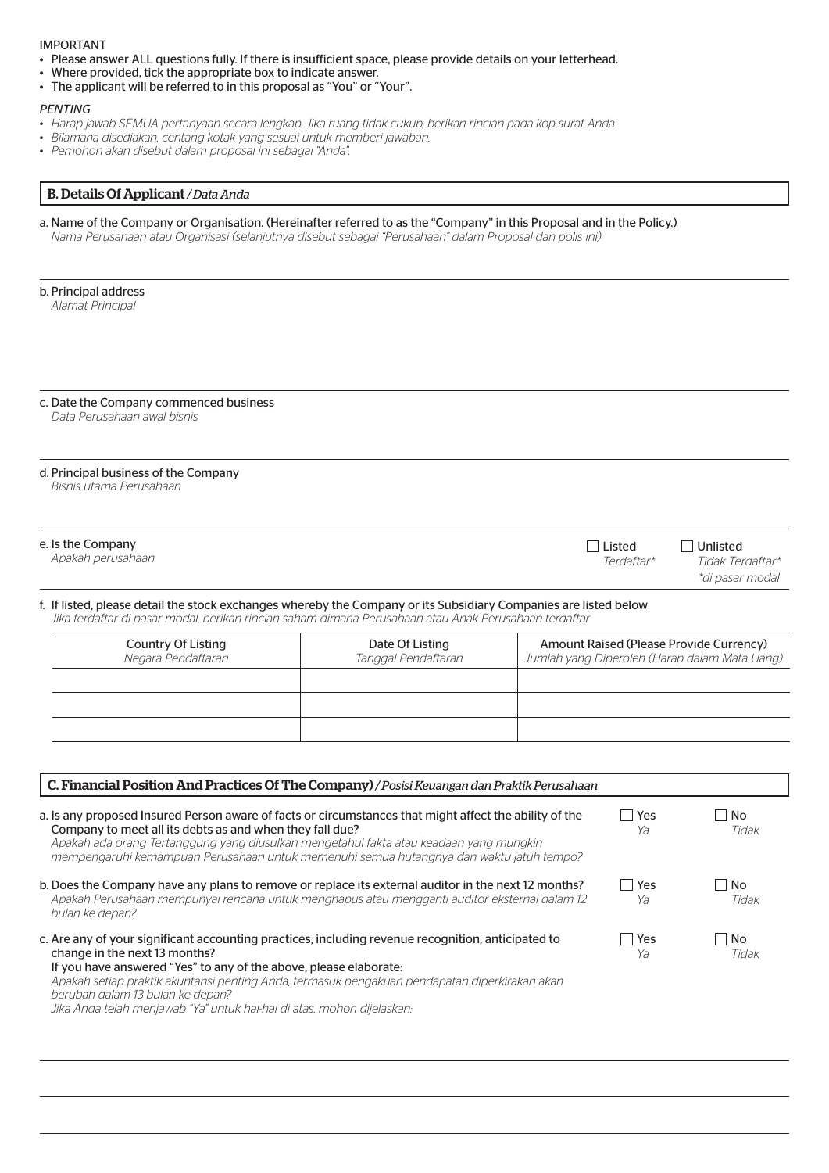## IMPORTANT

- Please answer ALL questions fully. If there is insufficient space, please provide details on your letterhead.
- Where provided, tick the appropriate box to indicate answer.
- The applicant will be referred to in this proposal as "You" or "Your".

# *PENTING*

- *• Harap jawab SEMUA pertanyaan secara lengkap. Jika ruang tidak cukup, berikan rincian pada kop surat Anda*
- *• Bilamana disediakan, centang kotak yang sesuai untuk memberi jawaban.*
- *• Pemohon akan disebut dalam proposal ini sebagai "Anda".*

# B. Details Of Applicant */ Data Anda*

| a. Name of the Company or Organisation. (Hereinafter referred to as the "Company" in this Proposal and in the Policy.)<br>Nama Perusahaan atau Organisasi (selanjutnya disebut sebagai "Perusahaan" dalam Proposal dan polis ini)                                                                                                                       |                                        |                      |                                                                                          |
|---------------------------------------------------------------------------------------------------------------------------------------------------------------------------------------------------------------------------------------------------------------------------------------------------------------------------------------------------------|----------------------------------------|----------------------|------------------------------------------------------------------------------------------|
| b. Principal address<br>Alamat Principal                                                                                                                                                                                                                                                                                                                |                                        |                      |                                                                                          |
| c. Date the Company commenced business<br>Data Perusahaan awal bisnis                                                                                                                                                                                                                                                                                   |                                        |                      |                                                                                          |
| d. Principal business of the Company<br>Bisnis utama Perusahaan                                                                                                                                                                                                                                                                                         |                                        |                      |                                                                                          |
| e. Is the Company<br>Apakah perusahaan                                                                                                                                                                                                                                                                                                                  |                                        | Listed<br>Terdaftar* | l Unlisted<br>Tidak Terdaftar*<br>*di pasar modal                                        |
| f. If listed, please detail the stock exchanges whereby the Company or its Subsidiary Companies are listed below<br>Jika terdaftar di pasar modal, berikan rincian saham dimana Perusahaan atau Anak Perusahaan terdaftar                                                                                                                               |                                        |                      |                                                                                          |
| <b>Country Of Listing</b><br>Negara Pendaftaran                                                                                                                                                                                                                                                                                                         | Date Of Listing<br>Tanggal Pendaftaran |                      | Amount Raised (Please Provide Currency)<br>Jumlah yang Diperoleh (Harap dalam Mata Uang) |
| C. Financial Position And Practices Of The Company) / Posisi Keuangan dan Praktik Perusahaan                                                                                                                                                                                                                                                            |                                        |                      |                                                                                          |
| a. Is any proposed Insured Person aware of facts or circumstances that might affect the ability of the<br>Company to meet all its debts as and when they fall due?<br>Apakah ada orang Tertanggung yang diusulkan mengetahui fakta atau keadaan yang mungkin<br>mempengaruhi kemampuan Perusahaan untuk memenuhi semua hutangnya dan waktu jatuh tempo? |                                        | Yes<br>Ya            | No<br>Tidak                                                                              |
| b. Does the Company have any plans to remove or replace its external auditor in the next 12 months?<br>Apakah Perusahaan mempunyai rencana untuk menghapus atau mengganti auditor eksternal dalam 12<br>bulan ke depan?                                                                                                                                 |                                        | $\Box$ Yes<br>Ya     | No<br>Tidak                                                                              |
| c. Are any of your significant accounting practices, including revenue recognition, anticipated to<br>change in the next 13 months?<br>If you have answered "Yes" to any of the above, please elaborate:<br>Apakah setiap praktik akuntansi penting Anda, termasuk pengakuan pendapatan diperkirakan akan<br>berubah dalam 13 bulan ke depan?           |                                        | $\Box$ Yes<br>Ya     | No<br>Tidak                                                                              |

*Jika Anda telah menjawab "Ya" untuk hal-hal di atas, mohon dijelaskan:*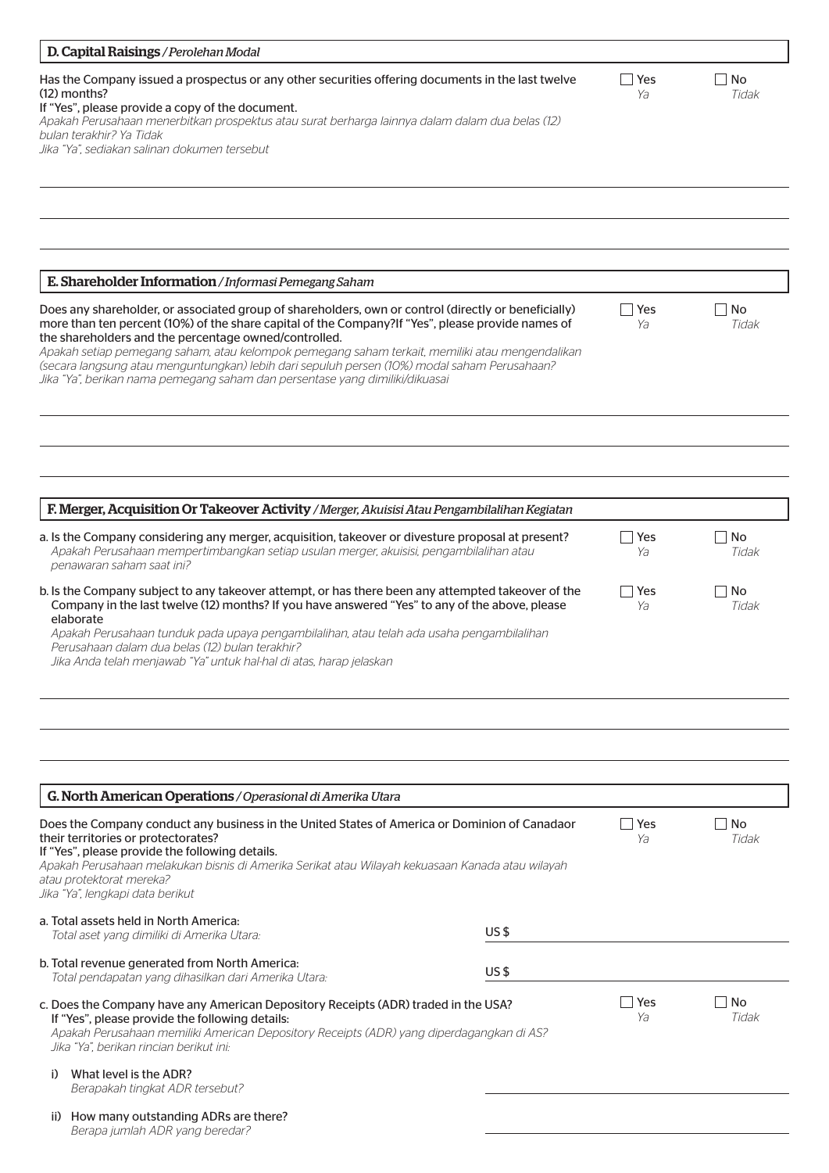| D. Capital Raisings / Perolehan Modal                                                                                                                                                                                                                                                                                                                                                                                                                                                                                                                 |                 |                  |             |
|-------------------------------------------------------------------------------------------------------------------------------------------------------------------------------------------------------------------------------------------------------------------------------------------------------------------------------------------------------------------------------------------------------------------------------------------------------------------------------------------------------------------------------------------------------|-----------------|------------------|-------------|
| Has the Company issued a prospectus or any other securities offering documents in the last twelve<br>$(12)$ months?<br>If "Yes", please provide a copy of the document.<br>Apakah Perusahaan menerbitkan prospektus atau surat berharga lainnya dalam dalam dua belas (12)<br>bulan terakhir? Ya Tidak<br>Jika "Ya", sediakan salinan dokumen tersebut                                                                                                                                                                                                |                 | Yes<br>Ya        | No<br>Tidak |
|                                                                                                                                                                                                                                                                                                                                                                                                                                                                                                                                                       |                 |                  |             |
|                                                                                                                                                                                                                                                                                                                                                                                                                                                                                                                                                       |                 |                  |             |
| E. Shareholder Information / Informasi Pemegang Saham                                                                                                                                                                                                                                                                                                                                                                                                                                                                                                 |                 |                  |             |
| Does any shareholder, or associated group of shareholders, own or control (directly or beneficially)<br>more than ten percent (10%) of the share capital of the Company?If "Yes", please provide names of<br>the shareholders and the percentage owned/controlled.<br>Apakah setiap pemegang saham, atau kelompok pemegang saham terkait, memiliki atau mengendalikan<br>(secara langsung atau menguntungkan) lebih dari sepuluh persen (10%) modal saham Perusahaan?<br>Jika "Ya", berikan nama pemegang saham dan persentase yang dimiliki/dikuasai |                 | <b>Yes</b><br>Ya | No<br>Tidak |
|                                                                                                                                                                                                                                                                                                                                                                                                                                                                                                                                                       |                 |                  |             |
|                                                                                                                                                                                                                                                                                                                                                                                                                                                                                                                                                       |                 |                  |             |
| F. Merger, Acquisition Or Takeover Activity / Merger, Akuisisi Atau Pengambilalihan Kegiatan                                                                                                                                                                                                                                                                                                                                                                                                                                                          |                 |                  |             |
| a. Is the Company considering any merger, acquisition, takeover or divesture proposal at present?<br>Apakah Perusahaan mempertimbangkan setiap usulan merger, akuisisi, pengambilalihan atau<br>penawaran saham saat ini?                                                                                                                                                                                                                                                                                                                             |                 | $\Box$ Yes<br>Ya | No<br>Tidak |
| b. Is the Company subject to any takeover attempt, or has there been any attempted takeover of the<br>Company in the last twelve (12) months? If you have answered "Yes" to any of the above, please<br>elaborate<br>Apakah Perusahaan tunduk pada upaya pengambilalihan, atau telah ada usaha pengambilalihan<br>Perusahaan dalam dua belas (12) bulan terakhir?<br>Jika Anda telah menjawab "Ya" untuk hal-hal di atas, harap jelaskan                                                                                                              |                 | Yes<br>Ya        | No<br>Tidak |
| G. North American Operations / Operasional di Amerika Utara<br>Does the Company conduct any business in the United States of America or Dominion of Canadaor                                                                                                                                                                                                                                                                                                                                                                                          |                 | Yes              | No          |
| their territories or protectorates?<br>If "Yes", please provide the following details.<br>Apakah Perusahaan melakukan bisnis di Amerika Serikat atau Wilayah kekuasaan Kanada atau wilayah<br>atau protektorat mereka?<br>Jika "Ya", lengkapi data berikut                                                                                                                                                                                                                                                                                            |                 | Ya               | Tidak       |
| a. Total assets held in North America:<br>Total aset yang dimiliki di Amerika Utara:                                                                                                                                                                                                                                                                                                                                                                                                                                                                  | US <sub>5</sub> |                  |             |
| b. Total revenue generated from North America:<br>Total pendapatan yang dihasilkan dari Amerika Utara:                                                                                                                                                                                                                                                                                                                                                                                                                                                | US <sub>5</sub> |                  |             |
| c. Does the Company have any American Depository Receipts (ADR) traded in the USA?<br>If "Yes", please provide the following details:<br>Apakah Perusahaan memiliki American Depository Receipts (ADR) yang diperdagangkan di AS?<br>Jika "Ya", berikan rincian berikut ini:                                                                                                                                                                                                                                                                          |                 | Yes<br>Ya        | No<br>Tidak |
| What level is the ADR?<br>i)<br>Berapakah tingkat ADR tersebut?                                                                                                                                                                                                                                                                                                                                                                                                                                                                                       |                 |                  |             |
| ii) How many outstanding ADRs are there?<br>Berapa jumlah ADR yang beredar?                                                                                                                                                                                                                                                                                                                                                                                                                                                                           |                 |                  |             |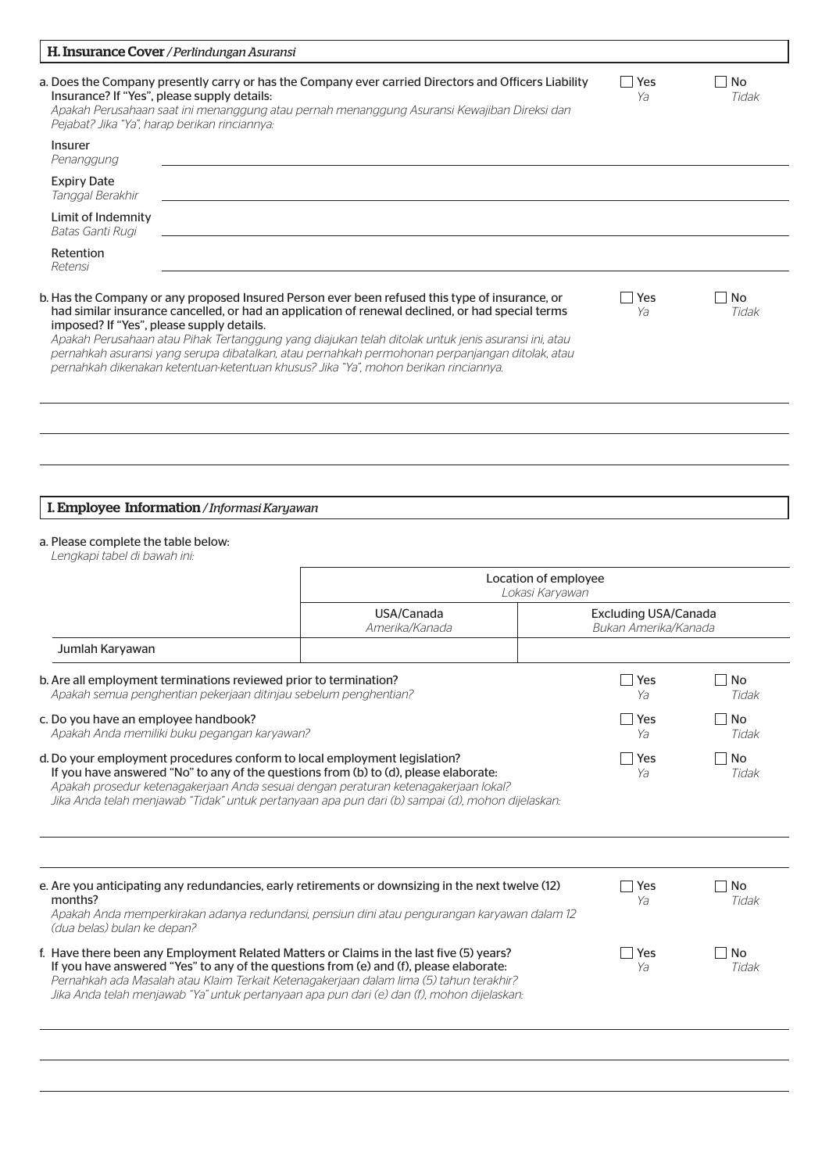| H. Insurance Cover / Perlindungan Asuransi                                                                                                                                                                                                                                                                                                                                                                |                                                                                                                                                                                                                                                                                                                                                                                                              |                                                     |                    |
|-----------------------------------------------------------------------------------------------------------------------------------------------------------------------------------------------------------------------------------------------------------------------------------------------------------------------------------------------------------------------------------------------------------|--------------------------------------------------------------------------------------------------------------------------------------------------------------------------------------------------------------------------------------------------------------------------------------------------------------------------------------------------------------------------------------------------------------|-----------------------------------------------------|--------------------|
| Insurance? If "Yes", please supply details:<br>Pejabat? Jika "Ya", harap berikan rinciannya:                                                                                                                                                                                                                                                                                                              | a. Does the Company presently carry or has the Company ever carried Directors and Officers Liability<br>Apakah Perusahaan saat ini menanggung atau pernah menanggung Asuransi Kewajiban Direksi dan                                                                                                                                                                                                          | Yes<br>Ya                                           | No<br>Tidak        |
| Insurer<br>Penanggung                                                                                                                                                                                                                                                                                                                                                                                     |                                                                                                                                                                                                                                                                                                                                                                                                              |                                                     |                    |
| <b>Expiry Date</b><br>Tanggal Berakhir                                                                                                                                                                                                                                                                                                                                                                    |                                                                                                                                                                                                                                                                                                                                                                                                              |                                                     |                    |
| Limit of Indemnity<br>Batas Ganti Rugi                                                                                                                                                                                                                                                                                                                                                                    |                                                                                                                                                                                                                                                                                                                                                                                                              |                                                     |                    |
| Retention<br>Retensi                                                                                                                                                                                                                                                                                                                                                                                      |                                                                                                                                                                                                                                                                                                                                                                                                              |                                                     |                    |
| imposed? If "Yes", please supply details.<br>pernahkah dikenakan ketentuan-ketentuan khusus? Jika "Ya", mohon berikan rinciannya.                                                                                                                                                                                                                                                                         | b. Has the Company or any proposed Insured Person ever been refused this type of insurance, or<br>had similar insurance cancelled, or had an application of renewal declined, or had special terms<br>Apakah Perusahaan atau Pihak Tertanggung yang diajukan telah ditolak untuk jenis asuransi ini, atau<br>pernahkah asuransi yang serupa dibatalkan, atau pernahkah permohonan perpanjangan ditolak, atau | Yes<br>Ya                                           | <b>No</b><br>Tidak |
|                                                                                                                                                                                                                                                                                                                                                                                                           |                                                                                                                                                                                                                                                                                                                                                                                                              |                                                     |                    |
|                                                                                                                                                                                                                                                                                                                                                                                                           |                                                                                                                                                                                                                                                                                                                                                                                                              |                                                     |                    |
| I. Employee Information / Informasi Karyawan                                                                                                                                                                                                                                                                                                                                                              |                                                                                                                                                                                                                                                                                                                                                                                                              |                                                     |                    |
| a. Please complete the table below:<br>Lengkapi tabel di bawah ini:                                                                                                                                                                                                                                                                                                                                       |                                                                                                                                                                                                                                                                                                                                                                                                              |                                                     |                    |
|                                                                                                                                                                                                                                                                                                                                                                                                           | Location of employee<br>Lokasi Karyawan                                                                                                                                                                                                                                                                                                                                                                      |                                                     |                    |
|                                                                                                                                                                                                                                                                                                                                                                                                           | USA/Canada<br>Amerika/Kanada                                                                                                                                                                                                                                                                                                                                                                                 | <b>Excluding USA/Canada</b><br>Bukan Amerika/Kanada |                    |
| Jumlah Karyawan                                                                                                                                                                                                                                                                                                                                                                                           |                                                                                                                                                                                                                                                                                                                                                                                                              |                                                     |                    |
| b. Are all employment terminations reviewed prior to termination?<br>Apakah semua penghentian pekerjaan ditinjau sebelum penghentian?                                                                                                                                                                                                                                                                     |                                                                                                                                                                                                                                                                                                                                                                                                              | Yes<br>Ya                                           | No<br>Tidak        |
| c. Do you have an employee handbook?<br>Apakah Anda memiliki buku pegangan karyawan?                                                                                                                                                                                                                                                                                                                      |                                                                                                                                                                                                                                                                                                                                                                                                              | Yes<br>Ya                                           | No<br>Tidak        |
| d. Do your employment procedures conform to local employment legislation?<br>If you have answered "No" to any of the questions from (b) to (d), please elaborate:<br>Apakah prosedur ketenagakerjaan Anda sesuai dengan peraturan ketenagakerjaan lokal?                                                                                                                                                  | Jika Anda telah menjawab "Tidak" untuk pertanyaan apa pun dari (b) sampai (d), mohon dijelaskan:                                                                                                                                                                                                                                                                                                             | Yes<br>Ya                                           | No<br>Tidak        |
| e. Are you anticipating any redundancies, early retirements or downsizing in the next twelve (12)<br>months?                                                                                                                                                                                                                                                                                              | Apakah Anda memperkirakan adanya redundansi, pensiun dini atau pengurangan karyawan dalam 12                                                                                                                                                                                                                                                                                                                 | Yes<br>Ya                                           | No<br>Tidak        |
| (dua belas) bulan ke depan?<br>f. Have there been any Employment Related Matters or Claims in the last five (5) years?<br>If you have answered "Yes" to any of the questions from (e) and (f), please elaborate:<br>Pernahkah ada Masalah atau Klaim Terkait Ketenagakerjaan dalam lima (5) tahun terakhir?<br>Jika Anda telah menjawab "Ya" untuk pertanyaan apa pun dari (e) dan (f), mohon dijelaskan: |                                                                                                                                                                                                                                                                                                                                                                                                              | Yes<br>Ya                                           | No<br>Tidak        |
|                                                                                                                                                                                                                                                                                                                                                                                                           |                                                                                                                                                                                                                                                                                                                                                                                                              |                                                     |                    |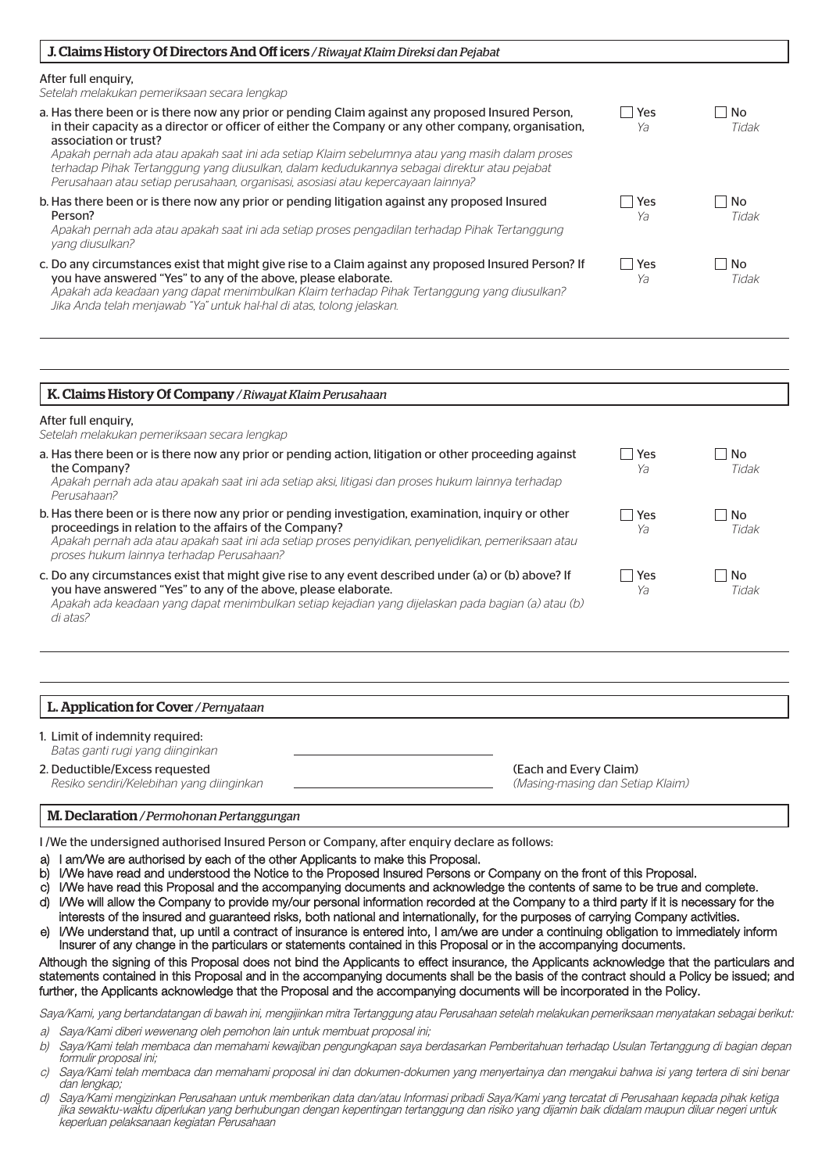| J. Claims History Of Directors And Off icers / Riwayat Klaim Direksi dan Pejabat                                                                                                                                                                                                                                                                                                                                                                                                                                          |                             |                           |
|---------------------------------------------------------------------------------------------------------------------------------------------------------------------------------------------------------------------------------------------------------------------------------------------------------------------------------------------------------------------------------------------------------------------------------------------------------------------------------------------------------------------------|-----------------------------|---------------------------|
| After full enguiry,<br>Setelah melakukan pemeriksaan secara lengkap                                                                                                                                                                                                                                                                                                                                                                                                                                                       |                             |                           |
| a. Has there been or is there now any prior or pending Claim against any proposed Insured Person,<br>in their capacity as a director or officer of either the Company or any other company, organisation,<br>association or trust?<br>Apakah pernah ada atau apakah saat ini ada setiap Klaim sebelumnya atau yang masih dalam proses<br>terhadap Pihak Tertanggung yang diusulkan, dalam kedudukannya sebagai direktur atau pejabat<br>Perusahaan atau setiap perusahaan, organisasi, asosiasi atau kepercayaan lainnya? | <b>Yes</b><br>Ya            | <b>No</b><br>- 1<br>Tidak |
| b. Has there been or is there now any prior or pending litigation against any proposed Insured<br>Person?<br>Apakah pernah ada atau apakah saat ini ada setiap proses pengadilan terhadap Pihak Tertanggung<br>yang diusulkan?                                                                                                                                                                                                                                                                                            | Yes<br>Ya                   | <b>No</b><br>Tidak        |
| c. Do any circumstances exist that might give rise to a Claim against any proposed Insured Person? If<br>you have answered "Yes" to any of the above, please elaborate.<br>Apakah ada keadaan yang dapat menimbulkan Klaim terhadap Pihak Tertanggung yang diusulkan?<br>Jika Anda telah menjawab "Ya" untuk hal-hal di atas, tolong jelaskan.                                                                                                                                                                            | Yes<br>$\blacksquare$<br>Ya | No<br>Tidak               |

| K. Claims History Of Company / Riwayat Klaim Perusahaan                                                                                                                                                                                                                                                           |           |                    |
|-------------------------------------------------------------------------------------------------------------------------------------------------------------------------------------------------------------------------------------------------------------------------------------------------------------------|-----------|--------------------|
| After full enguiry,<br>Setelah melakukan pemeriksaan secara lengkap                                                                                                                                                                                                                                               |           |                    |
| a. Has there been or is there now any prior or pending action, litigation or other proceeding against<br>the Company?<br>Apakah pernah ada atau apakah saat ini ada setiap aksi, litigasi dan proses hukum lainnya terhadap<br>Perusahaan?                                                                        | Yes<br>Ya | No.<br>Tidak       |
| b. Has there been or is there now any prior or pending investigation, examination, inquiry or other<br>proceedings in relation to the affairs of the Company?<br>Apakah pernah ada atau apakah saat ini ada setiap proses penyidikan, penyelidikan, pemeriksaan atau<br>proses hukum lainnya terhadap Perusahaan? | Yes<br>Yə | <b>No</b><br>Tidak |
| c. Do any circumstances exist that might give rise to any event described under (a) or (b) above? If<br>you have answered "Yes" to any of the above, please elaborate.<br>Apakah ada keadaan yang dapat menimbulkan setiap kejadian yang dijelaskan pada bagian (a) atau (b)<br>di atas?                          | Yes<br>Yə | l No<br>Tidak      |

| L. Application for Cover / Pernyataan                                      |                                                            |
|----------------------------------------------------------------------------|------------------------------------------------------------|
| 1. Limit of indemnity required:<br>Batas ganti rugi yang diinginkan        |                                                            |
| 2. Deductible/Excess requested<br>Resiko sendiri/Kelebihan yang diinginkan | (Each and Every Claim)<br>(Masing-masing dan Setiap Klaim) |

# M. Declaration */ Permohonan Pertanggungan*

I /We the undersigned authorised Insured Person or Company, after enquiry declare as follows:

- a) I am/We are authorised by each of the other Applicants to make this Proposal.
- b) I/We have read and understood the Notice to the Proposed Insured Persons or Company on the front of this Proposal.
- c) I/We have read this Proposal and the accompanying documents and acknowledge the contents of same to be true and complete.
- d) I/We will allow the Company to provide my/our personal information recorded at the Company to a third party if it is necessary for the interests of the insured and guaranteed risks, both national and internationally, for the purposes of carrying Company activities.
- I/We understand that, up until a contract of insurance is entered into, I am/we are under a continuing obligation to immediately inform Insurer of any change in the particulars or statements contained in this Proposal or in the accompanying documents. e)

# Although the signing of this Proposal does not bind the Applicants to effect insurance, the Applicants acknowledge that the particulars and statements contained in this Proposal and in the accompanying documents shall be the basis of the contract should a Policy be issued; and further, the Applicants acknowledge that the Proposal and the accompanying documents will be incorporated in the Policy.

Saya/Kami, yang bertandatangan di bawah ini, mengijinkan mitra Tertanggung atau Perusahaan setelah melakukan pemeriksaan menyatakan sebagai berikut:

- a) Saya/Kami diberi wewenang oleh pemohon lain untuk membuat proposal ini;
- b) Saya/Kami telah membaca dan memahami kewajiban pengungkapan saya berdasarkan Pemberitahuan terhadap Usulan Tertanggung di bagian depan formulir proposal ini;
- c) Saya/Kami telah membaca dan memahami proposal ini dan dokumen-dokumen yang menyertainya dan mengakui bahwa isi yang tertera di sini benar dan lengkap;
- d) Saya/Kami mengizinkan Perusahaan untuk memberikan data dan/atau Informasi pribadi Saya/Kami yang tercatat di Perusahaan kepada pihak ketiga jika sewaktu-waktu diperlukan yang berhubungan dengan kepentingan tertanggung dan risiko yang dijamin baik didalam maupun diluar negeri untuk keperluan pelaksanaan kegiatan Perusahaan